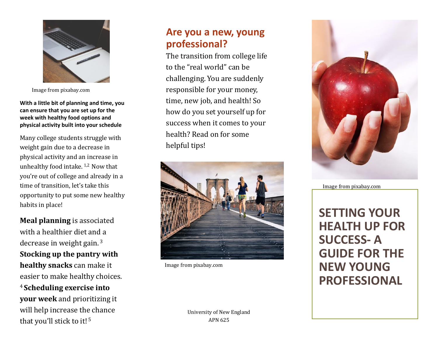

Image from pixabay.com

**With a little bit of planning and time, you can ensure that you are set up for the week with healthy food options and physical activity built into your schedule**

Many college students struggle with weight gain due to a decrease in physical activity and an increase in unhealthy food intake.  $1,2$  Now that you're out of college and already in a time of transition, let's take this opportunity to put some new healthy habits in place!

**Meal planning** is associated with a healthier diet and a decrease in weight gain. <sup>3</sup> **Stocking up the pantry with healthy snacks** can make it easier to make healthy choices. <sup>4</sup>**Scheduling exercise into your week** and prioritizing it will help increase the chance that you'll stick to it!<sup>5</sup>

## **Are you a new, young professional?**

The transition from college life to the "real world" can be challenging. You are suddenly responsible for your money, time, new job, and health! So how do you set yourself up for success when it comes to your health? Read on for some helpful tips!



Image from pixabay.com



Image from pixabay.com

**SETTING YOUR HEALTH UP FOR SUCCESS - A GUIDE FOR THE NEW YOUNG PROFESSIONAL**